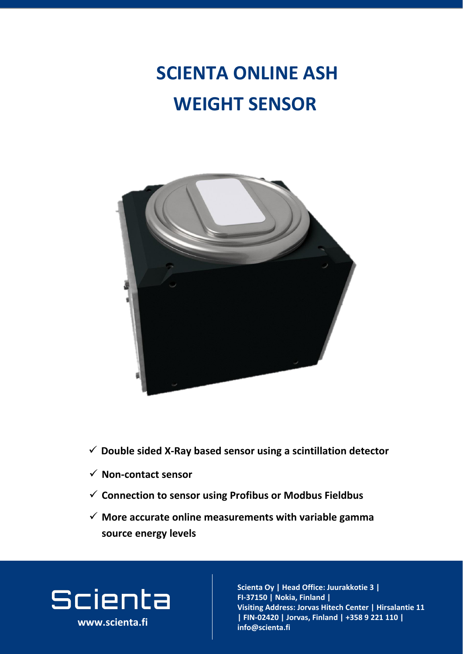**WEIGHT SENSOR**



### **SCIENTA ONLINE ASH**

**www.scienta.fi**

✓ **More accurate online measurements with variable gamma source energy levels**

# Scienta

#### ✓ **Non-contact sensor**

#### ✓ **Double sided X-Ray based sensor using a scintillation detector**

✓ **Connection to sensor using Profibus or Modbus Fieldbus**

**Visiting and address and address**<br>The contract and address and a **Joria, Fillianu |**<br>Jorian - Center adress: Jorva **02420 Jorvas, Finland | FIN-02420 | Jorvas, Finland | +358 9 221 110 |**   $\mathbf{info@}$ scienta.fi **Scienta Oy | Head Office: Juurakkotie 3 | FI-37150 | Nokia, Finland | Visiting Address: Jorvas Hitech Center | Hirsalantie 11 info@scienta.fi www.scienta.fi**